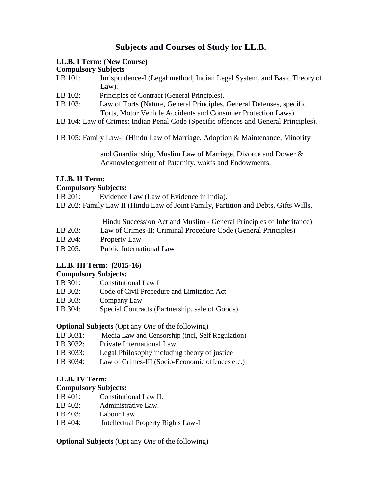# **Subjects and Courses of Study for LL.B.**

### **LL.B. I Term: (New Course)**

#### **Compulsory Subjects**

| LB 101:               | Jurisprudence-I (Legal method, Indian Legal System, and Basic Theory of |
|-----------------------|-------------------------------------------------------------------------|
|                       | $Law$ ).                                                                |
| $T \nightharpoonup A$ | $\sim$                                                                  |

- LB 102: Principles of Contract (General Principles).
- LB 103: Law of Torts (Nature, General Principles, General Defenses, specific Torts, Motor Vehicle Accidents and Consumer Protection Laws).
- LB 104: Law of Crimes: Indian Penal Code (Specific offences and General Principles).

LB 105: Family Law-I (Hindu Law of Marriage, Adoption & Maintenance, Minority

and Guardianship, Muslim Law of Marriage, Divorce and Dower & Acknowledgement of Paternity, wakfs and Endowments.

## **LL.B. II Term:**

### **Compulsory Subjects:**

LB 201: Evidence Law (Law of Evidence in India).

LB 202: Family Law II (Hindu Law of Joint Family, Partition and Debts, Gifts Wills,

Hindu Succession Act and Muslim - General Principles of Inheritance)

- LB 203: Law of Crimes-II: Criminal Procedure Code (General Principles)
- LB 204: Property Law
- LB 205: Public International Law

## **LL.B. III Term: (2015-16)**

## **Compulsory Subjects:**

- LB 301: Constitutional Law I
- LB 302: Code of Civil Procedure and Limitation Act
- LB 303: Company Law
- LB 304: Special Contracts (Partnership, sale of Goods)

## **Optional Subjects** (Opt any *One* of the following)

- LB 3031: Media Law and Censorship (incl, Self Regulation)
- LB 3032: Private International Law
- LB 3033: Legal Philosophy including theory of justice
- LB 3034: Law of Crimes-III (Socio-Economic offences etc.)

## **LL.B. IV Term:**

## **Compulsory Subjects:**

- LB 401: Constitutional Law II.
- LB 402: Administrative Law.
- LB 403: Labour Law
- LB 404: Intellectual Property Rights Law-I

**Optional Subjects** (Opt any *One* of the following)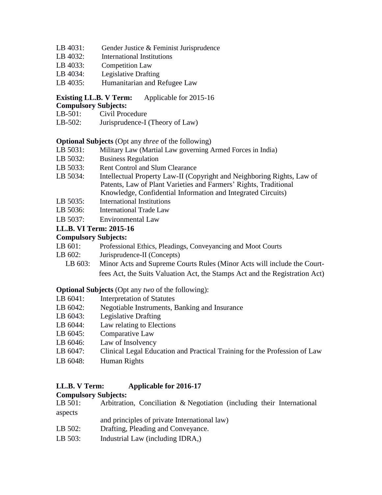- LB 4031: Gender Justice & Feminist Jurisprudence
- LB 4032: International Institutions
- LB 4033: Competition Law
- LB 4034: Legislative Drafting
- LB 4035: Humanitarian and Refugee Law

## **Existing LL.B. V Term:** Applicable for 2015-16

#### **Compulsory Subjects:**

- LB-501: Civil Procedure
- LB-502: Jurisprudence-I (Theory of Law)

### **Optional Subjects** (Opt any *three* of the following)

- LB 5031: Military Law (Martial Law governing Armed Forces in India)
- LB 5032: Business Regulation
- LB 5033: Rent Control and Slum Clearance
- LB 5034: Intellectual Property Law-II (Copyright and Neighboring Rights, Law of Patents, Law of Plant Varieties and Farmers' Rights, Traditional Knowledge, Confidential Information and Integrated Circuits)
- LB 5035: International Institutions
- LB 5036: International Trade Law
- LB 5037: Environmental Law

## **LL.B. VI Term: 2015-16**

## **Compulsory Subjects:**

- LB 601: Professional Ethics, Pleadings, Conveyancing and Moot Courts
- LB 602: Jurisprudence-II (Concepts)
	- LB 603: Minor Acts and Supreme Courts Rules (Minor Acts will include the Courtfees Act, the Suits Valuation Act, the Stamps Act and the Registration Act)

### **Optional Subjects** (Opt any *two* of the following):

- LB 6041: Interpretation of Statutes
- LB 6042: Negotiable Instruments, Banking and Insurance
- LB 6043: Legislative Drafting
- LB 6044: Law relating to Elections
- LB 6045: Comparative Law
- LB 6046: Law of Insolvency
- LB 6047: Clinical Legal Education and Practical Training for the Profession of Law
- LB 6048: Human Rights

## **LL.B. V Term: Applicable for 2016-17**

## **Compulsory Subjects:**

| LB 501: |  | Arbitration, Conciliation & Negotiation (including their International |  |  |
|---------|--|------------------------------------------------------------------------|--|--|
| aspects |  |                                                                        |  |  |

- and principles of private International law)
- LB 502: Drafting, Pleading and Conveyance.
- LB 503: Industrial Law (including IDRA,)